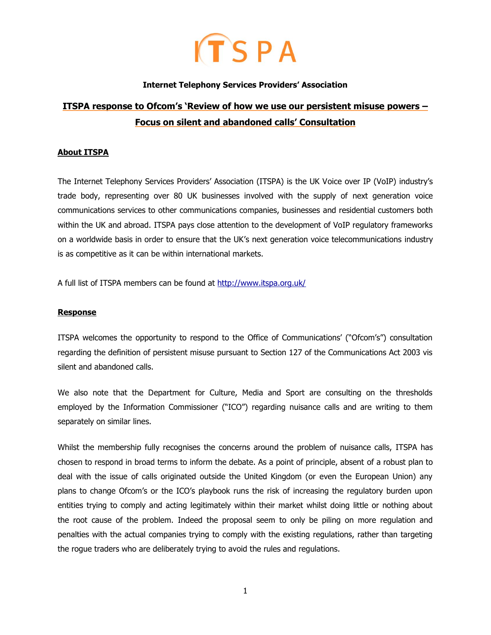## $ITSPA$

#### **Internet Telephony Services Providers' Association**

### **ITSPA response to Ofcom's 'Review of how we use our persistent misuse powers – Focus on silent and abandoned calls' Consultation**

#### **About ITSPA**

The Internet Telephony Services Providers' Association (ITSPA) is the UK Voice over IP (VoIP) industry's trade body, representing over 80 UK businesses involved with the supply of next generation voice communications services to other communications companies, businesses and residential customers both within the UK and abroad. ITSPA pays close attention to the development of VoIP regulatory frameworks on a worldwide basis in order to ensure that the UK's next generation voice telecommunications industry is as competitive as it can be within international markets.

A full list of ITSPA members can be found at<http://www.itspa.org.uk/>

#### **Response**

ITSPA welcomes the opportunity to respond to the Office of Communications' ("Ofcom's") consultation regarding the definition of persistent misuse pursuant to Section 127 of the Communications Act 2003 vis silent and abandoned calls.

We also note that the Department for Culture, Media and Sport are consulting on the thresholds employed by the Information Commissioner ("ICO") regarding nuisance calls and are writing to them separately on similar lines.

Whilst the membership fully recognises the concerns around the problem of nuisance calls, ITSPA has chosen to respond in broad terms to inform the debate. As a point of principle, absent of a robust plan to deal with the issue of calls originated outside the United Kingdom (or even the European Union) any plans to change Ofcom's or the ICO's playbook runs the risk of increasing the regulatory burden upon entities trying to comply and acting legitimately within their market whilst doing little or nothing about the root cause of the problem. Indeed the proposal seem to only be piling on more regulation and penalties with the actual companies trying to comply with the existing regulations, rather than targeting the rogue traders who are deliberately trying to avoid the rules and regulations.